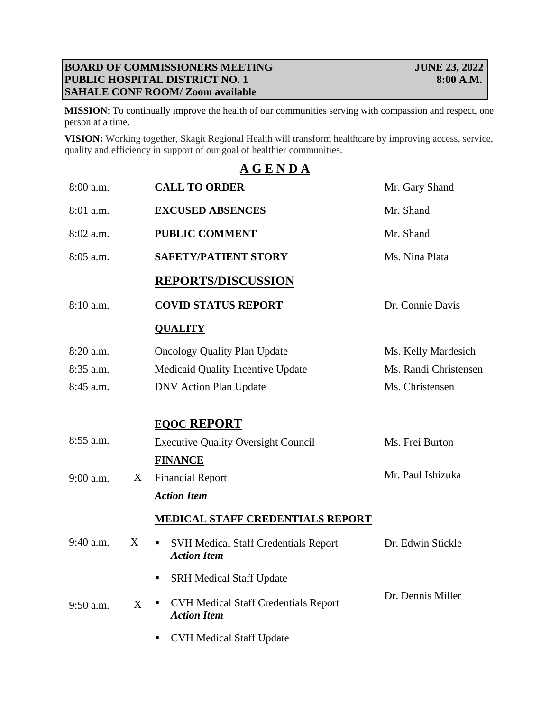## **BOARD OF COMMISSIONERS MEETING JUNE 23, 2022 PUBLIC HOSPITAL DISTRICT NO. 1 8:00 A.M. SAHALE CONF ROOM/ Zoom available**

**MISSION**: To continually improve the health of our communities serving with compassion and respect, one person at a time.

**VISION:** Working together, Skagit Regional Health will transform healthcare by improving access, service, quality and efficiency in support of our goal of healthier communities.

## **A G E N D A**

| 8:00 a.m.   |   | <b>CALL TO ORDER</b>                                                   | Mr. Gary Shand        |
|-------------|---|------------------------------------------------------------------------|-----------------------|
| 8:01 a.m.   |   | <b>EXCUSED ABSENCES</b>                                                | Mr. Shand             |
| 8:02 a.m.   |   | <b>PUBLIC COMMENT</b>                                                  | Mr. Shand             |
| 8:05 a.m.   |   | <b>SAFETY/PATIENT STORY</b>                                            | Ms. Nina Plata        |
|             |   | <b>REPORTS/DISCUSSION</b>                                              |                       |
| 8:10 a.m.   |   | <b>COVID STATUS REPORT</b>                                             | Dr. Connie Davis      |
|             |   | <b>QUALITY</b>                                                         |                       |
| 8:20 a.m.   |   | <b>Oncology Quality Plan Update</b>                                    | Ms. Kelly Mardesich   |
| 8:35 a.m.   |   | Medicaid Quality Incentive Update                                      | Ms. Randi Christensen |
| 8:45 a.m.   |   | <b>DNV</b> Action Plan Update                                          | Ms. Christensen       |
|             |   | <b>EQOC REPORT</b>                                                     |                       |
| 8:55 a.m.   |   | <b>Executive Quality Oversight Council</b>                             | Ms. Frei Burton       |
|             |   | <b>FINANCE</b>                                                         |                       |
| $9:00$ a.m. | X | <b>Financial Report</b>                                                | Mr. Paul Ishizuka     |
|             |   | <b>Action Item</b>                                                     |                       |
|             |   | <b>MEDICAL STAFF CREDENTIALS REPORT</b>                                |                       |
| 9:40 a.m.   | X | <b>SVH Medical Staff Credentials Report</b><br>п<br><b>Action Item</b> | Dr. Edwin Stickle     |
|             |   | <b>SRH Medical Staff Update</b><br>٠                                   |                       |
| $9:50$ a.m. | X | <b>CVH Medical Staff Credentials Report</b><br>п<br><b>Action Item</b> | Dr. Dennis Miller     |
|             |   | <b>CVH Medical Staff Update</b>                                        |                       |